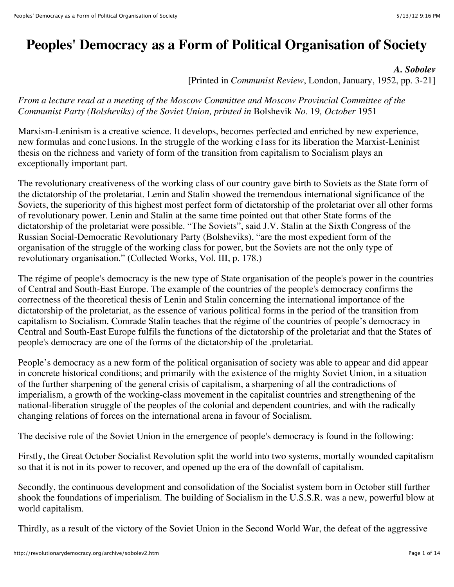# **Peoples' Democracy as a Form of Political Organisation of Society**

*A. Sobolev*

[Printed in *Communist Review*, London, January, 1952, pp. 3-21]

*From a lecture read at a meeting of the Moscow Committee and Moscow Provincial Committee of the Communist Party (Bolsheviks) of the Soviet Union, printed in* Bolshevik *No.* 19*, October* 1951

Marxism-Leninism is a creative science. It develops, becomes perfected and enriched by new experience, new formulas and conc1usions. In the struggle of the working c1ass for its liberation the Marxist-Leninist thesis on the richness and variety of form of the transition from capitalism to Socialism plays an exceptionally important part.

The revolutionary creativeness of the working class of our country gave birth to Soviets as the State form of the dictatorship of the proletariat. Lenin and Stalin showed the tremendous international significance of the Soviets, the superiority of this highest most perfect form of dictatorship of the proletariat over all other forms of revolutionary power. Lenin and Stalin at the same time pointed out that other State forms of the dictatorship of the proletariat were possible. "The Soviets", said J.V. Stalin at the Sixth Congress of the Russian Social-Democratic Revolutionary Party (Bolsheviks), "are the most expedient form of the organisation of the struggle of the working class for power, but the Soviets are not the only type of revolutionary organisation." (Collected Works, Vol. III, p. 178.)

The régime of people's democracy is the new type of State organisation of the people's power in the countries of Central and South-East Europe. The example of the countries of the people's democracy confirms the correctness of the theoretical thesis of Lenin and Stalin concerning the international importance of the dictatorship of the proletariat, as the essence of various political forms in the period of the transition from capitalism to Socialism. Comrade Stalin teaches that the régime of the countries of people's democracy in Central and South-East Europe fulfils the functions of the dictatorship of the proletariat and that the States of people's democracy are one of the forms of the dictatorship of the .proletariat.

People's democracy as a new form of the political organisation of society was able to appear and did appear in concrete historical conditions; and primarily with the existence of the mighty Soviet Union, in a situation of the further sharpening of the general crisis of capitalism, a sharpening of all the contradictions of imperialism, a growth of the working-class movement in the capitalist countries and strengthening of the national-liberation struggle of the peoples of the colonial and dependent countries, and with the radically changing relations of forces on the international arena in favour of Socialism.

The decisive role of the Soviet Union in the emergence of people's democracy is found in the following:

Firstly, the Great October Socialist Revolution split the world into two systems, mortally wounded capitalism so that it is not in its power to recover, and opened up the era of the downfall of capitalism.

Secondly, the continuous development and consolidation of the Socialist system born in October still further shook the foundations of imperialism. The building of Socialism in the U.S.S.R. was a new, powerful blow at world capitalism.

Thirdly, as a result of the victory of the Soviet Union in the Second World War, the defeat of the aggressive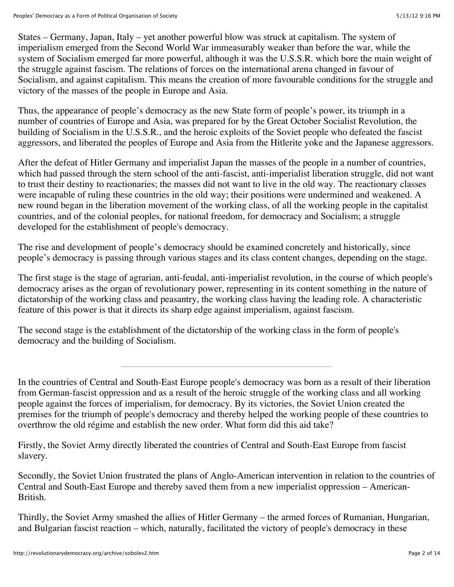States – Germany, Japan, Italy – yet another powerful blow was struck at capitalism. The system of imperialism emerged from the Second World War immeasurably weaker than before the war, while the system of Socialism emerged far more powerful, although it was the U.S.S.R. which bore the main weight of the struggle against fascism. The relations of forces on the international arena changed in favour of Socialism, and against capitalism. This means the creation of more favourable conditions for the struggle and victory of the masses of the people in Europe and Asia.

Thus, the appearance of people's democracy as the new State form of people's power, its triumph in a number of countries of Europe and Asia, was prepared for by the Great October Socialist Revolution, the building of Socialism in the U.S.S.R., and the heroic exploits of the Soviet people who defeated the fascist aggressors, and liberated the peoples of Europe and Asia from the Hitlerite yoke and the Japanese aggressors.

After the defeat of Hitler Germany and imperialist Japan the masses of the people in a number of countries, which had passed through the stern school of the anti-fascist, anti-imperialist liberation struggle, did not want to trust their destiny to reactionaries; the masses did not want to live in the old way. The reactionary classes were incapable of ruling these countries in the old way; their positions were undermined and weakened. A new round began in the liberation movement of the working class, of all the working people in the capitalist countries, and of the colonial peoples, for national freedom, for democracy and Socialism; a struggle developed for the establishment of people's democracy.

The rise and development of people's democracy should be examined concretely and historically, since people's democracy is passing through various stages and its class content changes, depending on the stage.

The first stage is the stage of agrarian, anti-feudal, anti-imperialist revolution, in the course of which people's democracy arises as the organ of revolutionary power, representing in its content something in the nature of dictatorship of the working class and peasantry, the working class having the leading role. A characteristic feature of this power is that it directs its sharp edge against imperialism, against fascism.

The second stage is the establishment of the dictatorship of the working class in the form of people's democracy and the building of Socialism.

In the countries of Central and South-East Europe people's democracy was born as a result of their liberation from German-fascist oppression and as a result of the heroic struggle of the working class and all working people against the forces of imperialism, for democracy. By its victories, the Soviet Union created the premises for the triumph of people's democracy and thereby helped the working people of these countries to overthrow the old régime and establish the new order. What form did this aid take?

Firstly, the Soviet Army directly liberated the countries of Central and South-East Europe from fascist slavery.

Secondly, the Soviet Union frustrated the plans of Anglo-American intervention in relation to the countries of Central and South-East Europe and thereby saved them from a new imperialist oppression – American-British.

Thirdly, the Soviet Army smashed the allies of Hitler Germany – the armed forces of Rumanian, Hungarian, and Bulgarian fascist reaction – which, naturally, facilitated the victory of people's democracy in these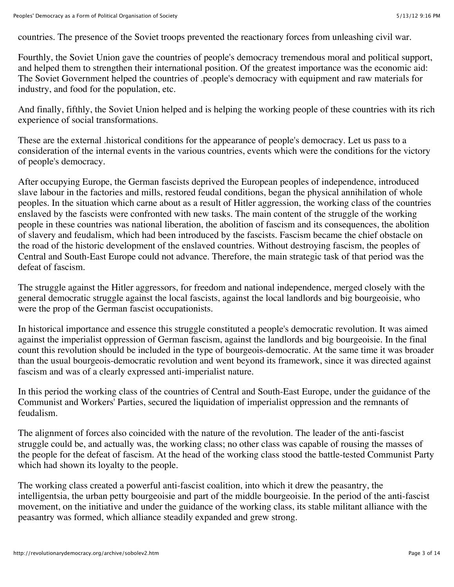countries. The presence of the Soviet troops prevented the reactionary forces from unleashing civil war.

Fourthly, the Soviet Union gave the countries of people's democracy tremendous moral and political support, and helped them to strengthen their international position. Of the greatest importance was the economic aid: The Soviet Government helped the countries of .people's democracy with equipment and raw materials for industry, and food for the population, etc.

And finally, fifthly, the Soviet Union helped and is helping the working people of these countries with its rich experience of social transformations.

These are the external .historical conditions for the appearance of people's democracy. Let us pass to a consideration of the internal events in the various countries, events which were the conditions for the victory of people's democracy.

After occupying Europe, the German fascists deprived the European peoples of independence, introduced slave labour in the factories and mills, restored feudal conditions, began the physical annihilation of whole peoples. In the situation which carne about as a result of Hitler aggression, the working class of the countries enslaved by the fascists were confronted with new tasks. The main content of the struggle of the working people in these countries was national liberation, the abolition of fascism and its consequences, the abolition of slavery and feudalism, which had been introduced by the fascists. Fascism became the chief obstacle on the road of the historic development of the enslaved countries. Without destroying fascism, the peoples of Central and South-East Europe could not advance. Therefore, the main strategic task of that period was the defeat of fascism.

The struggle against the Hitler aggressors, for freedom and national independence, merged closely with the general democratic struggle against the local fascists, against the local landlords and big bourgeoisie, who were the prop of the German fascist occupationists.

In historical importance and essence this struggle constituted a people's democratic revolution. It was aimed against the imperialist oppression of German fascism, against the landlords and big bourgeoisie. In the final count this revolution should be included in the type of bourgeois-democratic. At the same time it was broader than the usual bourgeois-democratic revolution and went beyond its framework, since it was directed against fascism and was of a clearly expressed anti-imperialist nature.

In this period the working class of the countries of Central and South-East Europe, under the guidance of the Communist and Workers' Parties, secured the liquidation of imperialist oppression and the remnants of feudalism.

The alignment of forces also coincided with the nature of the revolution. The leader of the anti-fascist struggle could be, and actually was, the working class; no other class was capable of rousing the masses of the people for the defeat of fascism. At the head of the working class stood the battle-tested Communist Party which had shown its loyalty to the people.

The working class created a powerful anti-fascist coalition, into which it drew the peasantry, the intelligentsia, the urban petty bourgeoisie and part of the middle bourgeoisie. In the period of the anti-fascist movement, on the initiative and under the guidance of the working class, its stable militant alliance with the peasantry was formed, which alliance steadily expanded and grew strong.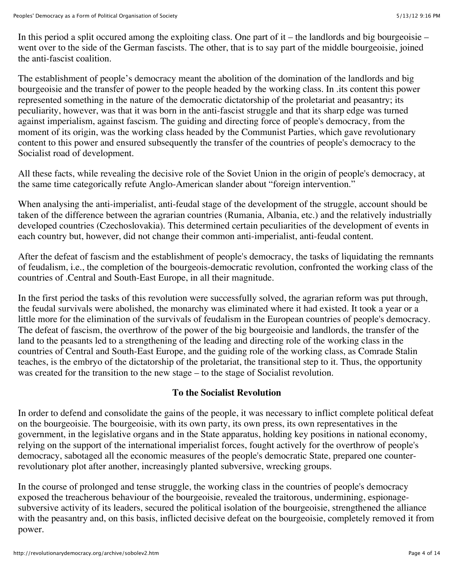In this period a split occured among the exploiting class. One part of  $it$  – the landlords and big bourgeoisie – went over to the side of the German fascists. The other, that is to say part of the middle bourgeoisie, joined the anti-fascist coalition.

The establishment of people's democracy meant the abolition of the domination of the landlords and big bourgeoisie and the transfer of power to the people headed by the working class. In .its content this power represented something in the nature of the democratic dictatorship of the proletariat and peasantry; its peculiarity, however, was that it was born in the anti-fascist struggle and that its sharp edge was turned against imperialism, against fascism. The guiding and directing force of people's democracy, from the moment of its origin, was the working class headed by the Communist Parties, which gave revolutionary content to this power and ensured subsequently the transfer of the countries of people's democracy to the Socialist road of development.

All these facts, while revealing the decisive role of the Soviet Union in the origin of people's democracy, at the same time categorically refute Anglo-American slander about "foreign intervention."

When analysing the anti-imperialist, anti-feudal stage of the development of the struggle, account should be taken of the difference between the agrarian countries (Rumania, Albania, etc.) and the relatively industrially developed countries (Czechoslovakia). This determined certain peculiarities of the development of events in each country but, however, did not change their common anti-imperialist, anti-feudal content.

After the defeat of fascism and the establishment of people's democracy, the tasks of liquidating the remnants of feudalism, i.e., the completion of the bourgeois-democratic revolution, confronted the working class of the countries of .Central and South-East Europe, in all their magnitude.

In the first period the tasks of this revolution were successfully solved, the agrarian reform was put through, the feudal survivals were abolished, the monarchy was eliminated where it had existed. It took a year or a little more for the elimination of the survivals of feudalism in the European countries of people's democracy. The defeat of fascism, the overthrow of the power of the big bourgeoisie and landlords, the transfer of the land to the peasants led to a strengthening of the leading and directing role of the working class in the countries of Central and South-East Europe, and the guiding role of the working class, as Comrade Stalin teaches, is the embryo of the dictatorship of the proletariat, the transitional step to it. Thus, the opportunity was created for the transition to the new stage – to the stage of Socialist revolution.

### **To the Socialist Revolution**

In order to defend and consolidate the gains of the people, it was necessary to inflict complete political defeat on the bourgeoisie. The bourgeoisie, with its own party, its own press, its own representatives in the government, in the legislative organs and in the State apparatus, holding key positions in national economy, relying on the support of the international imperialist forces, fought actively for the overthrow of people's democracy, sabotaged all the economic measures of the people's democratic State, prepared one counterrevolutionary plot after another, increasingly planted subversive, wrecking groups.

In the course of prolonged and tense struggle, the working class in the countries of people's democracy exposed the treacherous behaviour of the bourgeoisie, revealed the traitorous, undermining, espionagesubversive activity of its leaders, secured the political isolation of the bourgeoisie, strengthened the alliance with the peasantry and, on this basis, inflicted decisive defeat on the bourgeoisie, completely removed it from power.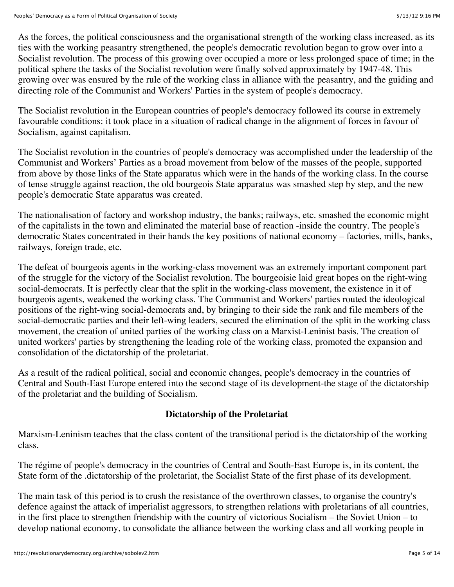As the forces, the political consciousness and the organisational strength of the working class increased, as its ties with the working peasantry strengthened, the people's democratic revolution began to grow over into a Socialist revolution. The process of this growing over occupied a more or less prolonged space of time; in the political sphere the tasks of the Socialist revolution were finally solved approximately by 1947-48. This growing over was ensured by the rule of the working class in alliance with the peasantry, and the guiding and directing role of the Communist and Workers' Parties in the system of people's democracy.

The Socialist revolution in the European countries of people's democracy followed its course in extremely favourable conditions: it took place in a situation of radical change in the alignment of forces in favour of Socialism, against capitalism.

The Socialist revolution in the countries of people's democracy was accomplished under the leadership of the Communist and Workers' Parties as a broad movement from below of the masses of the people, supported from above by those links of the State apparatus which were in the hands of the working class. In the course of tense struggle against reaction, the old bourgeois State apparatus was smashed step by step, and the new people's democratic State apparatus was created.

The nationalisation of factory and workshop industry, the banks; railways, etc. smashed the economic might of the capitalists in the town and eliminated the material base of reaction -inside the country. The people's democratic States concentrated in their hands the key positions of national economy – factories, mills, banks, railways, foreign trade, etc.

The defeat of bourgeois agents in the working-class movement was an extremely important component part of the struggle for the victory of the Socialist revolution. The bourgeoisie laid great hopes on the right-wing social-democrats. It is perfectly clear that the split in the working-class movement, the existence in it of bourgeois agents, weakened the working class. The Communist and Workers' parties routed the ideological positions of the right-wing social-democrats and, by bringing to their side the rank and file members of the social-democratic parties and their left-wing leaders, secured the elimination of the split in the working class movement, the creation of united parties of the working class on a Marxist-Leninist basis. The creation of united workers' parties by strengthening the leading role of the working class, promoted the expansion and consolidation of the dictatorship of the proletariat.

As a result of the radical political, social and economic changes, people's democracy in the countries of Central and South-East Europe entered into the second stage of its development-the stage of the dictatorship of the proletariat and the building of Socialism.

### **Dictatorship of the Proletariat**

Marxism-Leninism teaches that the class content of the transitional period is the dictatorship of the working class.

The régime of people's democracy in the countries of Central and South-East Europe is, in its content, the State form of the .dictatorship of the proletariat, the Socialist State of the first phase of its development.

The main task of this period is to crush the resistance of the overthrown classes, to organise the country's defence against the attack of imperialist aggressors, to strengthen relations with proletarians of all countries, in the first place to strengthen friendship with the country of victorious Socialism – the Soviet Union – to develop national economy, to consolidate the alliance between the working class and all working people in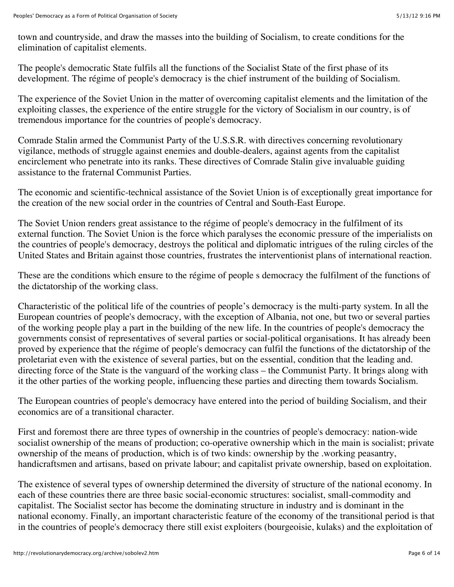town and countryside, and draw the masses into the building of Socialism, to create conditions for the elimination of capitalist elements.

The people's democratic State fulfils all the functions of the Socialist State of the first phase of its development. The régime of people's democracy is the chief instrument of the building of Socialism.

The experience of the Soviet Union in the matter of overcoming capitalist elements and the limitation of the exploiting classes, the experience of the entire struggle for the victory of Socialism in our country, is of tremendous importance for the countries of people's democracy.

Comrade Stalin armed the Communist Party of the U.S.S.R. with directives concerning revolutionary vigilance, methods of struggle against enemies and double-dealers, against agents from the capitalist encirclement who penetrate into its ranks. These directives of Comrade Stalin give invaluable guiding assistance to the fraternal Communist Parties.

The economic and scientific-technical assistance of the Soviet Union is of exceptionally great importance for the creation of the new social order in the countries of Central and South-East Europe.

The Soviet Union renders great assistance to the régime of people's democracy in the fulfilment of its external function. The Soviet Union is the force which paralyses the economic pressure of the imperialists on the countries of people's democracy, destroys the political and diplomatic intrigues of the ruling circles of the United States and Britain against those countries, frustrates the interventionist plans of international reaction.

These are the conditions which ensure to the régime of people s democracy the fulfilment of the functions of the dictatorship of the working class.

Characteristic of the political life of the countries of people's democracy is the multi-party system. In all the European countries of people's democracy, with the exception of Albania, not one, but two or several parties of the working people play a part in the building of the new life. In the countries of people's democracy the governments consist of representatives of several parties or social-political organisations. It has already been proved by experience that the régime of people's democracy can fulfil the functions of the dictatorship of the proletariat even with the existence of several parties, but on the essential, condition that the leading and. directing force of the State is the vanguard of the working class – the Communist Party. It brings along with it the other parties of the working people, influencing these parties and directing them towards Socialism.

The European countries of people's democracy have entered into the period of building Socialism, and their economics are of a transitional character.

First and foremost there are three types of ownership in the countries of people's democracy: nation-wide socialist ownership of the means of production; co-operative ownership which in the main is socialist; private ownership of the means of production, which is of two kinds: ownership by the .working peasantry, handicraftsmen and artisans, based on private labour; and capitalist private ownership, based on exploitation.

The existence of several types of ownership determined the diversity of structure of the national economy. In each of these countries there are three basic social-economic structures: socialist, small-commodity and capitalist. The Socialist sector has become the dominating structure in industry and is dominant in the national economy. Finally, an important characteristic feature of the economy of the transitional period is that in the countries of people's democracy there still exist exploiters (bourgeoisie, kulaks) and the exploitation of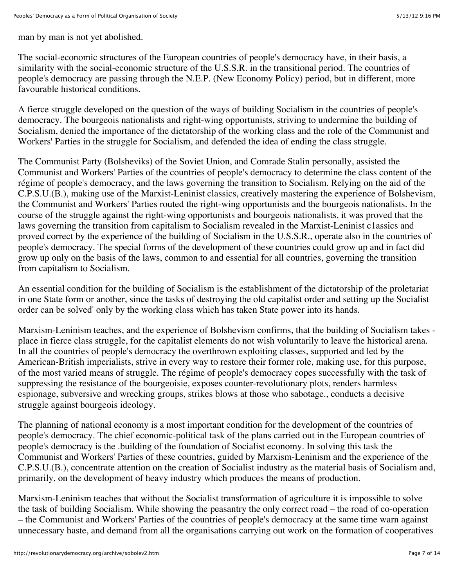man by man is not yet abolished.

The social-economic structures of the European countries of people's democracy have, in their basis, a similarity with the social-economic structure of the U.S.S.R. in the transitional period. The countries of people's democracy are passing through the N.E.P. (New Economy Policy) period, but in different, more favourable historical conditions.

A fierce struggle developed on the question of the ways of building Socialism in the countries of people's democracy. The bourgeois nationalists and right-wing opportunists, striving to undermine the building of Socialism, denied the importance of the dictatorship of the working class and the role of the Communist and Workers' Parties in the struggle for Socialism, and defended the idea of ending the class struggle.

The Communist Party (Bolsheviks) of the Soviet Union, and Comrade Stalin personally, assisted the Communist and Workers' Parties of the countries of people's democracy to determine the class content of the régime of people's democracy, and the laws governing the transition to Socialism. Relying on the aid of the C.P.S.U.(B.), making use of the Marxist-Leninist classics, creatively mastering the experience of Bolshevism, the Communist and Workers' Parties routed the right-wing opportunists and the bourgeois nationalists. In the course of the struggle against the right-wing opportunists and bourgeois nationalists, it was proved that the laws governing the transition from capitalism to Socialism revealed in the Marxist-Leninist c1assics and proved correct by the experience of the building of Socialism in the U.S.S.R., operate also in the countries of people's democracy. The special forms of the development of these countries could grow up and in fact did grow up only on the basis of the laws, common to and essential for all countries, governing the transition from capitalism to Socialism.

An essential condition for the building of Socialism is the establishment of the dictatorship of the proletariat in one State form or another, since the tasks of destroying the old capitalist order and setting up the Socialist order can be solved' only by the working class which has taken State power into its hands.

Marxism-Leninism teaches, and the experience of Bolshevism confirms, that the building of Socialism takes place in fierce class struggle, for the capitalist elements do not wish voluntarily to leave the historical arena. In all the countries of people's democracy the overthrown exploiting classes, supported and led by the American-British imperialists, strive in every way to restore their former role, making use, for this purpose, of the most varied means of struggle. The régime of people's democracy copes successfully with the task of suppressing the resistance of the bourgeoisie, exposes counter-revolutionary plots, renders harmless espionage, subversive and wrecking groups, strikes blows at those who sabotage., conducts a decisive struggle against bourgeois ideology.

The planning of national economy is a most important condition for the development of the countries of people's democracy. The chief economic-political task of the plans carried out in the European countries of people's democracy is the .building of the foundation of Socialist economy. In solving this task the Communist and Workers' Parties of these countries, guided by Marxism-Leninism and the experience of the C.P.S.U.(B.), concentrate attention on the creation of Socialist industry as the material basis of Socialism and, primarily, on the development of heavy industry which produces the means of production.

Marxism-Leninism teaches that without the Socialist transformation of agriculture it is impossible to solve the task of building Socialism. While showing the peasantry the only correct road – the road of co-operation – the Communist and Workers' Parties of the countries of people's democracy at the same time warn against unnecessary haste, and demand from all the organisations carrying out work on the formation of cooperatives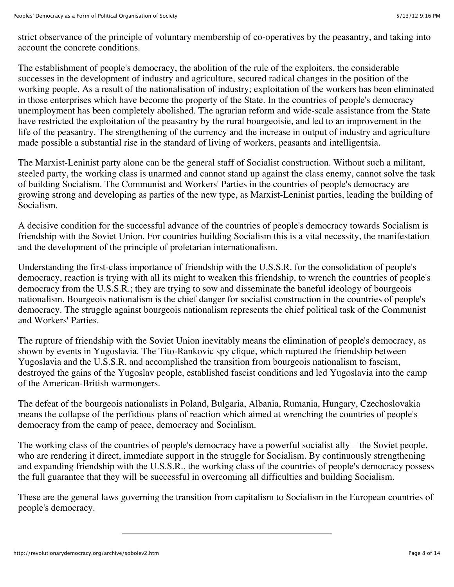strict observance of the principle of voluntary membership of co-operatives by the peasantry, and taking into account the concrete conditions.

The establishment of people's democracy, the abolition of the rule of the exploiters, the considerable successes in the development of industry and agriculture, secured radical changes in the position of the working people. As a result of the nationalisation of industry; exploitation of the workers has been eliminated in those enterprises which have become the property of the State. In the countries of people's democracy unemployment has been completely abolished. The agrarian reform and wide-scale assistance from the State have restricted the exploitation of the peasantry by the rural bourgeoisie, and led to an improvement in the life of the peasantry. The strengthening of the currency and the increase in output of industry and agriculture made possible a substantial rise in the standard of living of workers, peasants and intelligentsia.

The Marxist-Leninist party alone can be the general staff of Socialist construction. Without such a militant, steeled party, the working class is unarmed and cannot stand up against the class enemy, cannot solve the task of building Socialism. The Communist and Workers' Parties in the countries of people's democracy are growing strong and developing as parties of the new type, as Marxist-Leninist parties, leading the building of Socialism.

A decisive condition for the successful advance of the countries of people's democracy towards Socialism is friendship with the Soviet Union. For countries building Socialism this is a vital necessity, the manifestation and the development of the principle of proletarian internationalism.

Understanding the first-class importance of friendship with the U.S.S.R. for the consolidation of people's democracy, reaction is trying with all its might to weaken this friendship, to wrench the countries of people's democracy from the U.S.S.R.; they are trying to sow and disseminate the baneful ideology of bourgeois nationalism. Bourgeois nationalism is the chief danger for socialist construction in the countries of people's democracy. The struggle against bourgeois nationalism represents the chief political task of the Communist and Workers' Parties.

The rupture of friendship with the Soviet Union inevitably means the elimination of people's democracy, as shown by events in Yugoslavia. The Tito-Rankovic spy clique, which ruptured the friendship between Yugoslavia and the U.S.S.R. and accomplished the transition from bourgeois nationalism to fascism, destroyed the gains of the Yugoslav people, established fascist conditions and led Yugoslavia into the camp of the American-British warmongers.

The defeat of the bourgeois nationalists in Poland, Bulgaria, Albania, Rumania, Hungary, Czechoslovakia means the collapse of the perfidious plans of reaction which aimed at wrenching the countries of people's democracy from the camp of peace, democracy and Socialism.

The working class of the countries of people's democracy have a powerful socialist ally – the Soviet people, who are rendering it direct, immediate support in the struggle for Socialism. By continuously strengthening and expanding friendship with the U.S.S.R., the working class of the countries of people's democracy possess the full guarantee that they will be successful in overcoming all difficulties and building Socialism.

These are the general laws governing the transition from capitalism to Socialism in the European countries of people's democracy.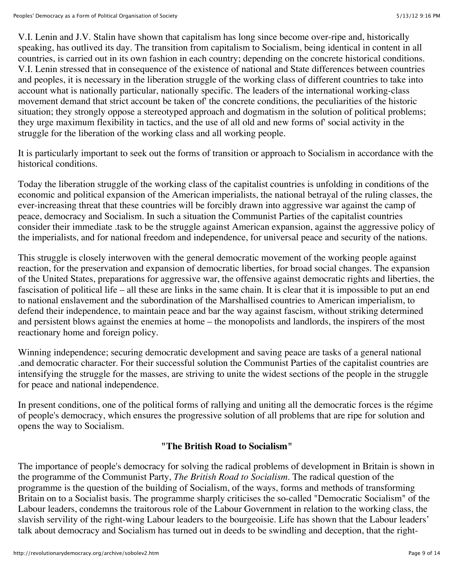V.I. Lenin and J.V. Stalin have shown that capitalism has long since become over-ripe and, historically speaking, has outlived its day. The transition from capitalism to Socialism, being identical in content in all countries, is carried out in its own fashion in each country; depending on the concrete historical conditions. V.I. Lenin stressed that in consequence of the existence of national and State differences between countries and peoples, it is necessary in the liberation struggle of the working class of different countries to take into account what is nationally particular, nationally specific. The leaders of the international working-class movement demand that strict account be taken of' the concrete conditions, the peculiarities of the historic situation; they strongly oppose a stereotyped approach and dogmatism in the solution of political problems; they urge maximum flexibility in tactics, and the use of all old and new forms of' social activity in the struggle for the liberation of the working class and all working people.

It is particularly important to seek out the forms of transition or approach to Socialism in accordance with the historical conditions.

Today the liberation struggle of the working class of the capitalist countries is unfolding in conditions of the economic and political expansion of the American imperialists, the national betrayal of the ruling classes, the ever-increasing threat that these countries will be forcibly drawn into aggressive war against the camp of peace, democracy and Socialism. In such a situation the Communist Parties of the capitalist countries consider their immediate .task to be the struggle against American expansion, against the aggressive policy of the imperialists, and for national freedom and independence, for universal peace and security of the nations.

This struggle is closely interwoven with the general democratic movement of the working people against reaction, for the preservation and expansion of democratic liberties, for broad social changes. The expansion of the United States, preparations for aggressive war, the offensive against democratic rights and liberties, the fascisation of political life – all these are links in the same chain. It is clear that it is impossible to put an end to national enslavement and the subordination of the Marshallised countries to American imperialism, to defend their independence, to maintain peace and bar the way against fascism, without striking determined and persistent blows against the enemies at home – the monopolists and landlords, the inspirers of the most reactionary home and foreign policy.

Winning independence; securing democratic development and saving peace are tasks of a general national .and democratic character. For their successful solution the Communist Parties of the capitalist countries are intensifying the struggle for the masses, are striving to unite the widest sections of the people in the struggle for peace and national independence.

In present conditions, one of the political forms of rallying and uniting all the democratic forces is the régime of people's democracy, which ensures the progressive solution of all problems that are ripe for solution and opens the way to Socialism.

### **"The British Road to Socialism"**

The importance of people's democracy for solving the radical problems of development in Britain is shown in the programme of the Communist Party, *The British Road to Socialism*. The radical question of the programme is the question of the building of Socialism, of the ways, forms and methods of transforming Britain on to a Socialist basis. The programme sharply criticises the so-called "Democratic Socialism" of the Labour leaders, condemns the traitorous role of the Labour Government in relation to the working class, the slavish servility of the right-wing Labour leaders to the bourgeoisie. Life has shown that the Labour leaders' talk about democracy and Socialism has turned out in deeds to be swindling and deception, that the right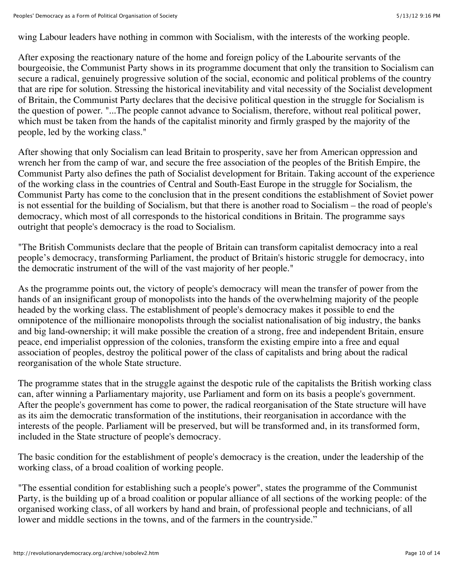wing Labour leaders have nothing in common with Socialism, with the interests of the working people.

After exposing the reactionary nature of the home and foreign policy of the Labourite servants of the bourgeoisie, the Communist Party shows in its programme document that only the transition to Socialism can secure a radical, genuinely progressive solution of the social, economic and political problems of the country that are ripe for solution. Stressing the historical inevitability and vital necessity of the Socialist development of Britain, the Communist Party declares that the decisive political question in the struggle for Socialism is the question of power. "...The people cannot advance to Socialism, therefore, without real political power, which must be taken from the hands of the capitalist minority and firmly grasped by the majority of the people, led by the working class."

After showing that only Socialism can lead Britain to prosperity, save her from American oppression and wrench her from the camp of war, and secure the free association of the peoples of the British Empire, the Communist Party also defines the path of Socialist development for Britain. Taking account of the experience of the working class in the countries of Central and South-East Europe in the struggle for Socialism, the Communist Party has come to the conclusion that in the present conditions the establishment of Soviet power is not essential for the building of Socialism, but that there is another road to Socialism – the road of people's democracy, which most of all corresponds to the historical conditions in Britain. The programme says outright that people's democracy is the road to Socialism.

"The British Communists declare that the people of Britain can transform capitalist democracy into a real people's democracy, transforming Parliament, the product of Britain's historic struggle for democracy, into the democratic instrument of the will of the vast majority of her people."

As the programme points out, the victory of people's democracy will mean the transfer of power from the hands of an insignificant group of monopolists into the hands of the overwhelming majority of the people headed by the working class. The establishment of people's democracy makes it possible to end the omnipotence of the millionaire monopolists through the socialist nationalisation of big industry, the banks and big land-ownership; it will make possible the creation of a strong, free and independent Britain, ensure peace, end imperialist oppression of the colonies, transform the existing empire into a free and equal association of peoples, destroy the political power of the class of capitalists and bring about the radical reorganisation of the whole State structure.

The programme states that in the struggle against the despotic rule of the capitalists the British working class can, after winning a Parliamentary majority, use Parliament and form on its basis a people's government. After the people's government has come to power, the radical reorganisation of the State structure will have as its aim the democratic transformation of the institutions, their reorganisation in accordance with the interests of the people. Parliament will be preserved, but will be transformed and, in its transformed form, included in the State structure of people's democracy.

The basic condition for the establishment of people's democracy is the creation, under the leadership of the working class, of a broad coalition of working people.

"The essential condition for establishing such a people's power", states the programme of the Communist Party, is the building up of a broad coalition or popular alliance of all sections of the working people: of the organised working class, of all workers by hand and brain, of professional people and technicians, of all lower and middle sections in the towns, and of the farmers in the countryside."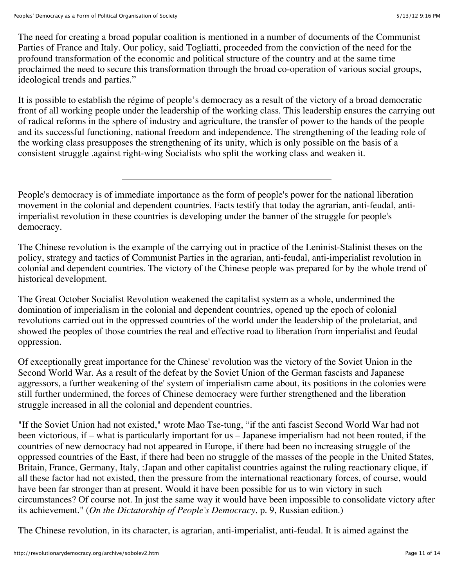The need for creating a broad popular coalition is mentioned in a number of documents of the Communist Parties of France and Italy. Our policy, said Togliatti, proceeded from the conviction of the need for the profound transformation of the economic and political structure of the country and at the same time proclaimed the need to secure this transformation through the broad co-operation of various social groups, ideological trends and parties."

It is possible to establish the régime of people's democracy as a result of the victory of a broad democratic front of all working people under the leadership of the working class. This leadership ensures the carrying out of radical reforms in the sphere of industry and agriculture, the transfer of power to the hands of the people and its successful functioning, national freedom and independence. The strengthening of the leading role of the working class presupposes the strengthening of its unity, which is only possible on the basis of a consistent struggle .against right-wing Socialists who split the working class and weaken it.

People's democracy is of immediate importance as the form of people's power for the national liberation movement in the colonial and dependent countries. Facts testify that today the agrarian, anti-feudal, antiimperialist revolution in these countries is developing under the banner of the struggle for people's democracy.

The Chinese revolution is the example of the carrying out in practice of the Leninist-Stalinist theses on the policy, strategy and tactics of Communist Parties in the agrarian, anti-feudal, anti-imperialist revolution in colonial and dependent countries. The victory of the Chinese people was prepared for by the whole trend of historical development.

The Great October Socialist Revolution weakened the capitalist system as a whole, undermined the domination of imperialism in the colonial and dependent countries, opened up the epoch of colonial revolutions carried out in the oppressed countries of the world under the leadership of the proletariat, and showed the peoples of those countries the real and effective road to liberation from imperialist and feudal oppression.

Of exceptionally great importance for the Chinese' revolution was the victory of the Soviet Union in the Second World War. As a result of the defeat by the Soviet Union of the German fascists and Japanese aggressors, a further weakening of the' system of imperialism came about, its positions in the colonies were still further undermined, the forces of Chinese democracy were further strengthened and the liberation struggle increased in all the colonial and dependent countries.

"If the Soviet Union had not existed," wrote Mao Tse-tung, "if the anti fascist Second World War had not been victorious, if – what is particularly important for us – Japanese imperialism had not been routed, if the countries of new democracy had not appeared in Europe, if there had been no increasing struggle of the oppressed countries of the East, if there had been no struggle of the masses of the people in the United States, Britain, France, Germany, Italy, :Japan and other capitalist countries against the ruling reactionary clique, if all these factor had not existed, then the pressure from the international reactionary forces, of course, would have been far stronger than at present. Would it have been possible for us to win victory in such circumstances? Of course not. In just the same way it would have been impossible to consolidate victory after its achievement." (*On the Dictatorship of People's Democracy*, p. 9, Russian edition.)

The Chinese revolution, in its character, is agrarian, anti-imperialist, anti-feudal. It is aimed against the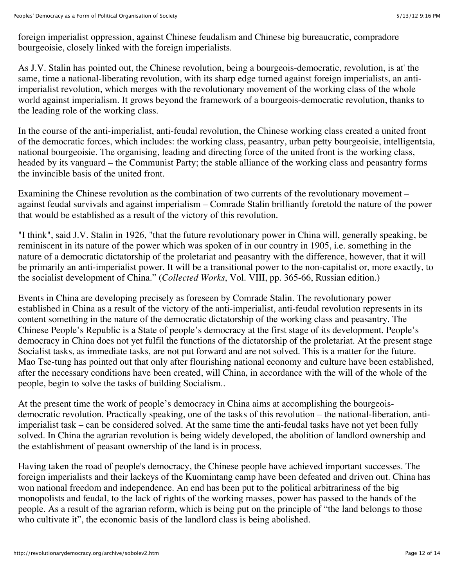foreign imperialist oppression, against Chinese feudalism and Chinese big bureaucratic, compradore bourgeoisie, closely linked with the foreign imperialists.

As J.V. Stalin has pointed out, the Chinese revolution, being a bourgeois-democratic, revolution, is at' the same, time a national-liberating revolution, with its sharp edge turned against foreign imperialists, an antiimperialist revolution, which merges with the revolutionary movement of the working class of the whole world against imperialism. It grows beyond the framework of a bourgeois-democratic revolution, thanks to the leading role of the working class.

In the course of the anti-imperialist, anti-feudal revolution, the Chinese working class created a united front of the democratic forces, which includes: the working class, peasantry, urban petty bourgeoisie, intelligentsia, national bourgeoisie. The organising, leading and directing force of the united front is the working class, headed by its vanguard – the Communist Party; the stable alliance of the working class and peasantry forms the invincible basis of the united front.

Examining the Chinese revolution as the combination of two currents of the revolutionary movement – against feudal survivals and against imperialism – Comrade Stalin brilliantly foretold the nature of the power that would be established as a result of the victory of this revolution.

"I think", said J.V. Stalin in 1926, "that the future revolutionary power in China will, generally speaking, be reminiscent in its nature of the power which was spoken of in our country in 1905, i.e. something in the nature of a democratic dictatorship of the proletariat and peasantry with the difference, however, that it will be primarily an anti-imperialist power. It will be a transitional power to the non-capitalist or, more exactly, to the socialist development of China." (*Collected Works*, Vol. VIII, pp. 365-66, Russian edition.)

Events in China are developing precisely as foreseen by Comrade Stalin. The revolutionary power established in China as a result of the victory of the anti-imperialist, anti-feudal revolution represents in its content something in the nature of the democratic dictatorship of the working class and peasantry. The Chinese People's Republic is a State of people's democracy at the first stage of its development. People's democracy in China does not yet fulfil the functions of the dictatorship of the proletariat. At the present stage Socialist tasks, as immediate tasks, are not put forward and are not solved. This is a matter for the future. Mao Tse-tung has pointed out that only after flourishing national economy and culture have been established, after the necessary conditions have been created, will China, in accordance with the will of the whole of the people, begin to solve the tasks of building Socialism..

At the present time the work of people's democracy in China aims at accomplishing the bourgeoisdemocratic revolution. Practically speaking, one of the tasks of this revolution – the national-liberation, antiimperialist task – can be considered solved. At the same time the anti-feudal tasks have not yet been fully solved. In China the agrarian revolution is being widely developed, the abolition of landlord ownership and the establishment of peasant ownership of the land is in process.

Having taken the road of people's democracy, the Chinese people have achieved important successes. The foreign imperialists and their lackeys of the Kuomintang camp have been defeated and driven out. China has won national freedom and independence. An end has been put to the political arbitrariness of the big monopolists and feudal, to the lack of rights of the working masses, power has passed to the hands of the people. As a result of the agrarian reform, which is being put on the principle of "the land belongs to those who cultivate it", the economic basis of the landlord class is being abolished.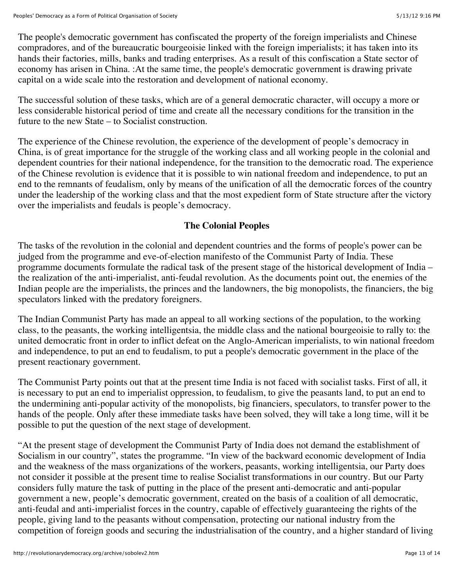The people's democratic government has confiscated the property of the foreign imperialists and Chinese compradores, and of the bureaucratic bourgeoisie linked with the foreign imperialists; it has taken into its hands their factories, mills, banks and trading enterprises. As a result of this confiscation a State sector of economy has arisen in China. :At the same time, the people's democratic government is drawing private capital on a wide scale into the restoration and development of national economy.

The successful solution of these tasks, which are of a general democratic character, will occupy a more or less considerable historical period of time and create all the necessary conditions for the transition in the future to the new State – to Socialist construction.

The experience of the Chinese revolution, the experience of the development of people's democracy in China, is of great importance for the struggle of the working class and all working people in the colonial and dependent countries for their national independence, for the transition to the democratic road. The experience of the Chinese revolution is evidence that it is possible to win national freedom and independence, to put an end to the remnants of feudalism, only by means of the unification of all the democratic forces of the country under the leadership of the working class and that the most expedient form of State structure after the victory over the imperialists and feudals is people's democracy.

## **The Colonial Peoples**

The tasks of the revolution in the colonial and dependent countries and the forms of people's power can be judged from the programme and eve-of-election manifesto of the Communist Party of India. These programme documents formulate the radical task of the present stage of the historical development of India – the realization of the anti-imperialist, anti-feudal revolution. As the documents point out, the enemies of the Indian people are the imperialists, the princes and the landowners, the big monopolists, the financiers, the big speculators linked with the predatory foreigners.

The Indian Communist Party has made an appeal to all working sections of the population, to the working class, to the peasants, the working intelligentsia, the middle class and the national bourgeoisie to rally to: the united democratic front in order to inflict defeat on the Anglo-American imperialists, to win national freedom and independence, to put an end to feudalism, to put a people's democratic government in the place of the present reactionary government.

The Communist Party points out that at the present time India is not faced with socialist tasks. First of all, it is necessary to put an end to imperialist oppression, to feudalism, to give the peasants land, to put an end to the undermining anti-popular activity of the monopolists, big financiers, speculators, to transfer power to the hands of the people. Only after these immediate tasks have been solved, they will take a long time, will it be possible to put the question of the next stage of development.

"At the present stage of development the Communist Party of India does not demand the establishment of Socialism in our country", states the programme. "In view of the backward economic development of India and the weakness of the mass organizations of the workers, peasants, working intelligentsia, our Party does not consider it possible at the present time to realise Socialist transformations in our country. But our Party considers fully mature the task of putting in the place of the present anti-democratic and anti-popular government a new, people's democratic government, created on the basis of a coalition of all democratic, anti-feudal and anti-imperialist forces in the country, capable of effectively guaranteeing the rights of the people, giving land to the peasants without compensation, protecting our national industry from the competition of foreign goods and securing the industrialisation of the country, and a higher standard of living